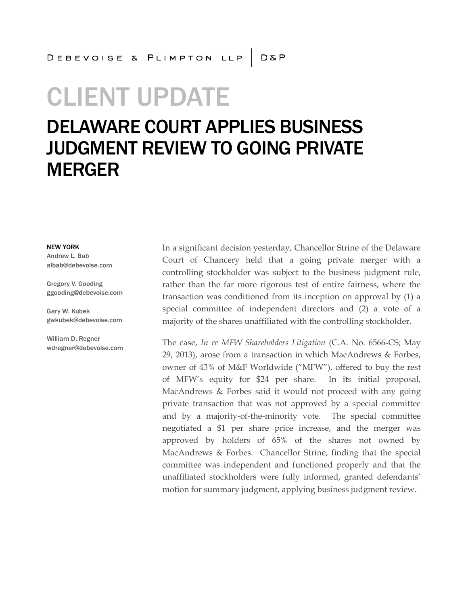## CLIENT UPDATE

## DELAWARE COURT APPLIES BUSINESS JUDGMENT REVIEW TO GOING PRIVATE MERGER

NEW YORK

Andrew L. Bab albab@debevoise.com

Gregory V. Gooding ggooding@debevoise.com

Gary W. Kubek gwkubek@debevoise.com

William D. Regner wdregner@debevoise.com In a significant decision yesterday, Chancellor Strine of the Delaware Court of Chancery held that a going private merger with a controlling stockholder was subject to the business judgment rule, rather than the far more rigorous test of entire fairness, where the transaction was conditioned from its inception on approval by (1) a special committee of independent directors and (2) a vote of a majority of the shares unaffiliated with the controlling stockholder.

The case, *In re MFW Shareholders Litigation* (C.A. No. 6566-CS; May 29, 2013), arose from a transaction in which MacAndrews & Forbes, owner of 43% of M&F Worldwide ("MFW"), offered to buy the rest of MFW's equity for \$24 per share. In its initial proposal, MacAndrews & Forbes said it would not proceed with any going private transaction that was not approved by a special committee and by a majority-of-the-minority vote. The special committee negotiated a \$1 per share price increase, and the merger was approved by holders of 65% of the shares not owned by MacAndrews & Forbes. Chancellor Strine, finding that the special committee was independent and functioned properly and that the unaffiliated stockholders were fully informed, granted defendants' motion for summary judgment, applying business judgment review.